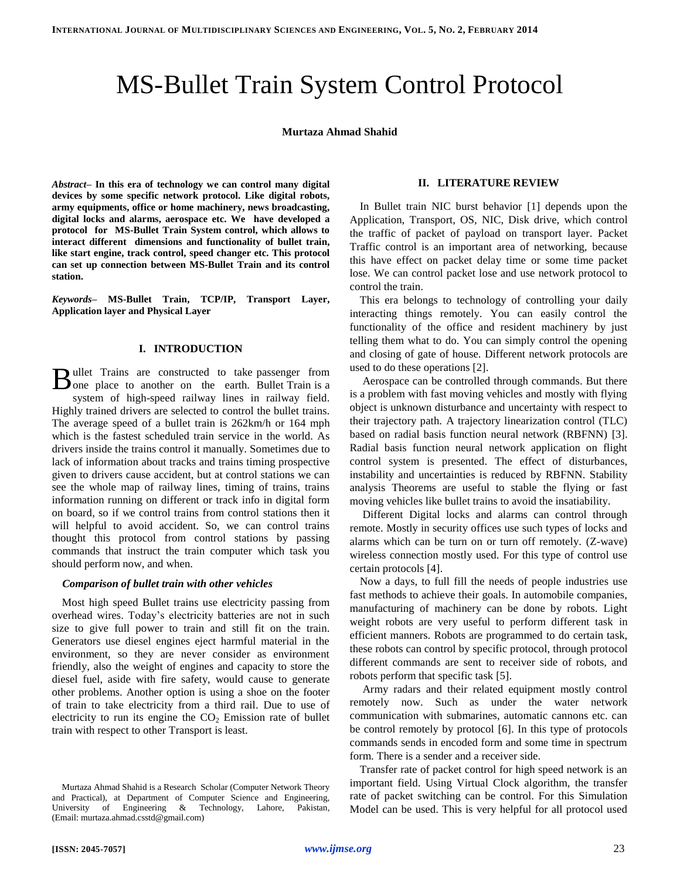# MS-Bullet Train System Control Protocol

### **Murtaza Ahmad Shahid**

*Abstract–* **In this era of technology we can control many digital devices by some specific network protocol. Like digital robots, army equipments, office or home machinery, news broadcasting, digital locks and alarms, aerospace etc. We have developed a protocol for MS-Bullet Train System control, which allows to interact different dimensions and functionality of bullet train, like start engine, track control, speed changer etc. This protocol can set up connection between MS-Bullet Train and its control station.** 

*Keywords–* **MS-Bullet Train, TCP/IP, Transport Layer, Application layer and Physical Layer**

## **I. INTRODUCTION**

ullet Trains are constructed to take passenger from Bullet Trains are constructed to take passenger from<br>
one place to another on the earth. Bullet Train is a system of high-speed railway lines in railway field. Highly trained drivers are selected to control the bullet trains. The average speed of a bullet train is 262km/h or 164 mph which is the fastest scheduled train service in the world. As drivers inside the trains control it manually. Sometimes due to lack of information about tracks and trains timing prospective given to drivers cause accident, but at control stations we can see the whole map of railway lines, timing of trains, trains information running on different or track info in digital form on board, so if we control trains from control stations then it will helpful to avoid accident. So, we can control trains thought this protocol from control stations by passing commands that instruct the train computer which task you should perform now, and when.

#### *Comparison of bullet train with other vehicles*

Most high speed Bullet trains use electricity passing from overhead wires. Today's electricity batteries are not in such size to give full power to train and still fit on the train. Generators use diesel engines eject harmful material in the environment, so they are never consider as environment friendly, also the weight of engines and capacity to store the diesel fuel, aside with fire safety, would cause to generate other problems. Another option is using a shoe on the footer of train to take electricity from a third rail. Due to use of electricity to run its engine the  $CO<sub>2</sub>$  Emission rate of bullet train with respect to other Transport is least.

# **II. LITERATURE REVIEW**

In Bullet train NIC burst behavior [1] depends upon the Application, Transport, OS, NIC, Disk drive, which control the traffic of packet of payload on transport layer. Packet Traffic control is an important area of networking, because this have effect on packet delay time or some time packet lose. We can control packet lose and use network protocol to control the train.

This era belongs to technology of controlling your daily interacting things remotely. You can easily control the functionality of the office and resident machinery by just telling them what to do. You can simply control the opening and closing of gate of house. Different network protocols are used to do these operations [2].

Aerospace can be controlled through commands. But there is a problem with fast moving vehicles and mostly with flying object is unknown disturbance and uncertainty with respect to their trajectory path. A trajectory linearization control (TLC) based on radial basis function neural network (RBFNN) [3]. Radial basis function neural network application on flight control system is presented. The effect of disturbances, instability and uncertainties is reduced by RBFNN. Stability analysis Theorems are useful to stable the flying or fast moving vehicles like bullet trains to avoid the insatiability.

Different Digital locks and alarms can control through remote. Mostly in security offices use such types of locks and alarms which can be turn on or turn off remotely. (Z-wave) wireless connection mostly used. For this type of control use certain protocols [4].

Now a days, to full fill the needs of people industries use fast methods to achieve their goals. In automobile companies, manufacturing of machinery can be done by robots. Light weight robots are very useful to perform different task in efficient manners. Robots are programmed to do certain task, these robots can control by specific protocol, through protocol different commands are sent to receiver side of robots, and robots perform that specific task [5].

Army radars and their related equipment mostly control remotely now. Such as under the water network communication with submarines, automatic cannons etc. can be control remotely by protocol [6]. In this type of protocols commands sends in encoded form and some time in spectrum form. There is a sender and a receiver side.

Transfer rate of packet control for high speed network is an important field. Using Virtual Clock algorithm, the transfer rate of packet switching can be control. For this Simulation Model can be used. This is very helpful for all protocol used

Murtaza Ahmad Shahid is a Research Scholar (Computer Network Theory and Practical), at Department of Computer Science and Engineering, University of Engineering & Technology, Lahore, Pakistan, (Email: murtaza.ahmad.csstd@gmail.com)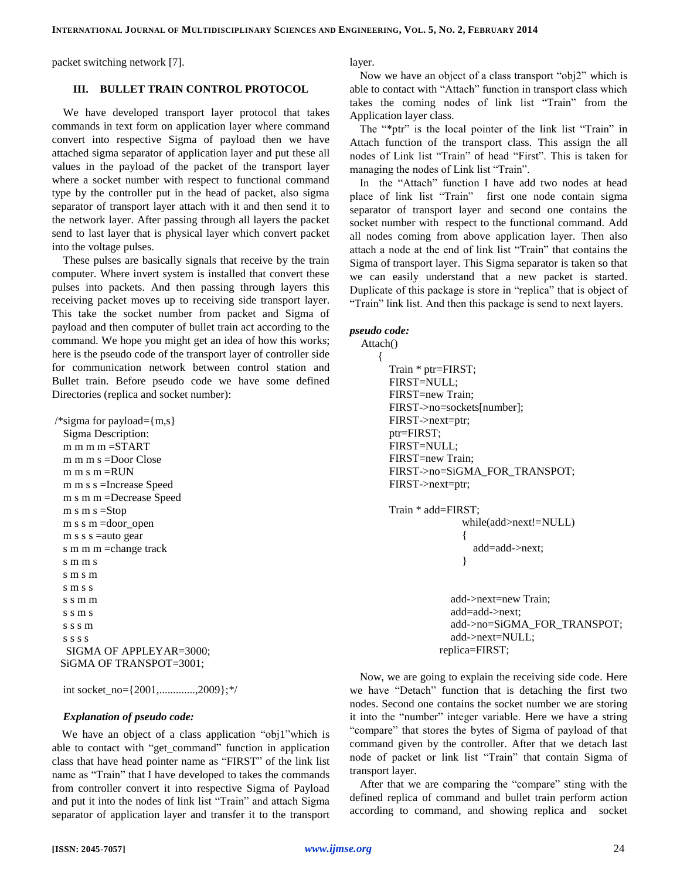packet switching network [7].

## **III. BULLET TRAIN CONTROL PROTOCOL**

We have developed transport layer protocol that takes commands in text form on application layer where command convert into respective Sigma of payload then we have attached sigma separator of application layer and put these all values in the payload of the packet of the transport layer where a socket number with respect to functional command type by the controller put in the head of packet, also sigma separator of transport layer attach with it and then send it to the network layer. After passing through all layers the packet send to last layer that is physical layer which convert packet into the voltage pulses.

These pulses are basically signals that receive by the train computer. Where invert system is installed that convert these pulses into packets. And then passing through layers this receiving packet moves up to receiving side transport layer. This take the socket number from packet and Sigma of payload and then computer of bullet train act according to the command. We hope you might get an idea of how this works; here is the pseudo code of the transport layer of controller side for communication network between control station and Bullet train. Before pseudo code we have some defined Directories (replica and socket number):

```
\frac{\text{pi}}{\text{sigma}} for payload=\{m,s\}Sigma Description:
 m m m =START
 m m m s =Door Close
 m m s m =RUN
 m m s s =Increase Speed
 m s m m =Decrease Speed
 m s m s =Stop
 m s s m =door_open
 m s s s = auto gear
 s m m m = change track
 s m m s
 s m s m
 s m s s
 s s m m
 s s m s
 s s s m
 s s s s
  SIGMA OF APPLEYAR=3000;
  SiGMA OF TRANSPOT=3001;
```
int socket\_no={2001,.............,2009};\*/

## *Explanation of pseudo code:*

We have an object of a class application "obj1"which is able to contact with "get\_command" function in application class that have head pointer name as "FIRST" of the link list name as "Train" that I have developed to takes the commands from controller convert it into respective Sigma of Payload and put it into the nodes of link list "Train" and attach Sigma separator of application layer and transfer it to the transport layer.

Now we have an object of a class transport "obj2" which is able to contact with "Attach" function in transport class which takes the coming nodes of link list "Train" from the Application layer class.

The "\*ptr" is the local pointer of the link list "Train" in Attach function of the transport class. This assign the all nodes of Link list "Train" of head "First". This is taken for managing the nodes of Link list "Train".

In the "Attach" function I have add two nodes at head place of link list "Train" first one node contain sigma separator of transport layer and second one contains the socket number with respect to the functional command. Add all nodes coming from above application layer. Then also attach a node at the end of link list "Train" that contains the Sigma of transport layer. This Sigma separator is taken so that we can easily understand that a new packet is started. Duplicate of this package is store in "replica" that is object of "Train" link list. And then this package is send to next layers.

#### *pseudo code:*

{

Attach() Train \* ptr=FIRST; FIRST=NULL; FIRST=new Train; FIRST->no=sockets[number]; FIRST->next=ptr; ptr=FIRST; FIRST=NULL; FIRST=new Train; FIRST->no=SiGMA\_FOR\_TRANSPOT; FIRST->next=ptr;

Train \* add=FIRST;

 while(add>next!=NULL) { add=add->next; }

add->next=new Train; add=add->next; add->no=SiGMA\_FOR\_TRANSPOT; add->next=NULL; replica=FIRST;

Now, we are going to explain the receiving side code. Here we have "Detach" function that is detaching the first two nodes. Second one contains the socket number we are storing it into the "number" integer variable. Here we have a string "compare" that stores the bytes of Sigma of payload of that command given by the controller. After that we detach last node of packet or link list "Train" that contain Sigma of transport layer.

After that we are comparing the "compare" sting with the defined replica of command and bullet train perform action according to command, and showing replica and socket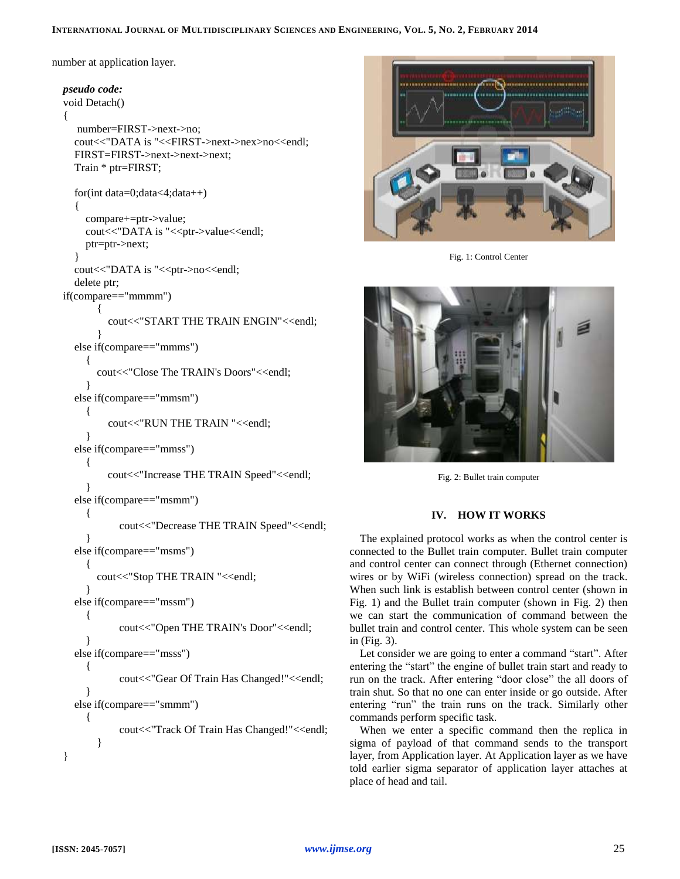### INTERNATIONAL JOURNAL OF MULTIDISCIPLINARY SCIENCES AND ENGINEERING, VOL. 5, No. 2, FEBRUARY 2014

number at application layer.

```
pseudo code:
void Detach()
{
   number=FIRST->next->no;
  cout<<"DATA is "<<FIRST->next->nex>no<<endl;
  FIRST=FIRST->next->next->next;
  Train * ptr=FIRST;
  for(int data=0;data<4;data++)
  {
    compare+=ptr->value;
    cout<<"DATA is "<<ptr->value<<endl;
    ptr=ptr->next;
  }
  cout<<"DATA is "<<ptr->no<<endl;
  delete ptr;
if(compare=="mmmm")
       {
         cout<<"START THE TRAIN ENGIN"<<endl;
       }
  else if(compare=="mmms")
     {
       cout<<"Close The TRAIN's Doors"<<endl;
     }
  else if(compare=="mmsm")
     {
         cout<<"RUN THE TRAIN "<<endl;
     }
  else if(compare=="mmss")
     \{cout<<"Increase THE TRAIN Speed"<<endl;
     }
  else if(compare=="msmm")
     {
           cout<<"Decrease THE TRAIN Speed"<<endl;
     }
  else if(compare=="msms")
     {
       cout<<"Stop THE TRAIN "<<endl;
     }
  else if(compare=="mssm")
     {
           cout<<"Open THE TRAIN's Door"<<endl;
     }
  else if(compare=="msss")
     {
           cout<<"Gear Of Train Has Changed!"<<endl;
     }
  else if(compare=="smmm")
     {
           cout<<"Track Of Train Has Changed!"<<endl;
       }
}
```


Fig. 1: Control Center



Fig. 2: Bullet train computer

# **IV. HOW IT WORKS**

The explained protocol works as when the control center is connected to the Bullet train computer. Bullet train computer and control center can connect through (Ethernet connection) wires or by WiFi (wireless connection) spread on the track. When such link is establish between control center (shown in Fig. 1) and the Bullet train computer (shown in Fig. 2) then we can start the communication of command between the bullet train and control center. This whole system can be seen in (Fig. 3).

Let consider we are going to enter a command "start". After entering the "start" the engine of bullet train start and ready to run on the track. After entering "door close" the all doors of train shut. So that no one can enter inside or go outside. After entering "run" the train runs on the track. Similarly other commands perform specific task.

When we enter a specific command then the replica in sigma of payload of that command sends to the transport layer, from Application layer. At Application layer as we have told earlier sigma separator of application layer attaches at place of head and tail.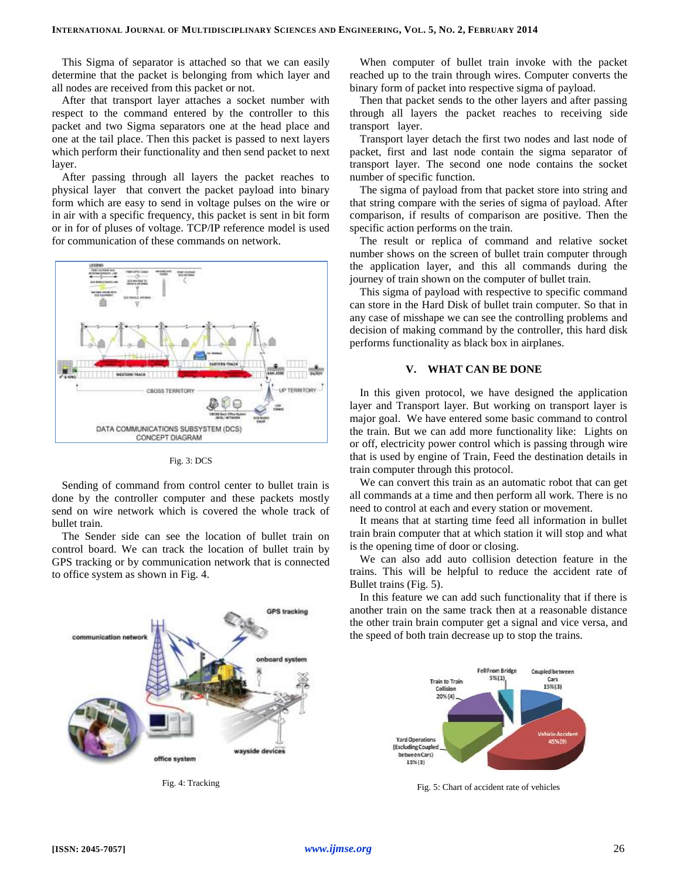This Sigma of separator is attached so that we can easily determine that the packet is belonging from which layer and all nodes are received from this packet or not.

After that transport layer attaches a socket number with respect to the command entered by the controller to this packet and two Sigma separators one at the head place and one at the tail place. Then this packet is passed to next layers which perform their functionality and then send packet to next layer.

After passing through all layers the packet reaches to physical layer that convert the packet payload into binary form which are easy to send in voltage pulses on the wire or in air with a specific frequency, this packet is sent in bit form or in for of pluses of voltage. TCP/IP reference model is used for communication of these commands on network.





Sending of command from control center to bullet train is done by the controller computer and these packets mostly send on wire network which is covered the whole track of bullet train.

The Sender side can see the location of bullet train on control board. We can track the location of bullet train by GPS tracking or by communication network that is connected to office system as shown in Fig. 4.



Fig. 4: Tracking

When computer of bullet train invoke with the packet reached up to the train through wires. Computer converts the binary form of packet into respective sigma of payload.

Then that packet sends to the other layers and after passing through all layers the packet reaches to receiving side transport layer.

Transport layer detach the first two nodes and last node of packet, first and last node contain the sigma separator of transport layer. The second one node contains the socket number of specific function.

The sigma of payload from that packet store into string and that string compare with the series of sigma of payload. After comparison, if results of comparison are positive. Then the specific action performs on the train.

The result or replica of command and relative socket number shows on the screen of bullet train computer through the application layer, and this all commands during the journey of train shown on the computer of bullet train.

This sigma of payload with respective to specific command can store in the Hard Disk of bullet train computer. So that in any case of misshape we can see the controlling problems and decision of making command by the controller, this hard disk performs functionality as black box in airplanes.

#### **V. WHAT CAN BE DONE**

In this given protocol, we have designed the application layer and Transport layer. But working on transport layer is major goal. We have entered some basic command to control the train. But we can add more functionality like: Lights on or off, electricity power control which is passing through wire that is used by engine of Train, Feed the destination details in train computer through this protocol.

We can convert this train as an automatic robot that can get all commands at a time and then perform all work. There is no need to control at each and every station or movement.

It means that at starting time feed all information in bullet train brain computer that at which station it will stop and what is the opening time of door or closing.

We can also add auto collision detection feature in the trains. This will be helpful to reduce the accident rate of Bullet trains (Fig. 5).

In this feature we can add such functionality that if there is another train on the same track then at a reasonable distance the other train brain computer get a signal and vice versa, and the speed of both train decrease up to stop the trains.



Fig. 5: Chart of accident rate of vehicles